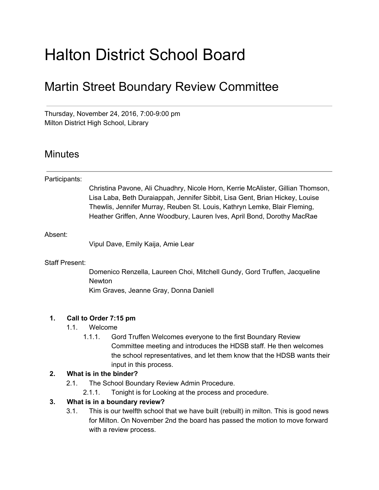# Halton District School Board

# Martin Street Boundary Review Committee

Thursday, November 24, 2016, 7:00-9:00 pm Milton District High School, Library

# **Minutes**

| Participants:         |                                                                                                                                                                                                                                                                                                                         |
|-----------------------|-------------------------------------------------------------------------------------------------------------------------------------------------------------------------------------------------------------------------------------------------------------------------------------------------------------------------|
|                       | Christina Pavone, Ali Chuadhry, Nicole Horn, Kerrie McAlister, Gillian Thomson,<br>Lisa Laba, Beth Duraiappah, Jennifer Sibbit, Lisa Gent, Brian Hickey, Louise<br>Thewlis, Jennifer Murray, Reuben St. Louis, Kathryn Lemke, Blair Fleming,<br>Heather Griffen, Anne Woodbury, Lauren Ives, April Bond, Dorothy MacRae |
| Absent:               |                                                                                                                                                                                                                                                                                                                         |
|                       | Vipul Dave, Emily Kaija, Amie Lear                                                                                                                                                                                                                                                                                      |
| <b>Staff Present:</b> |                                                                                                                                                                                                                                                                                                                         |
|                       | Domenico Renzella, Laureen Choi, Mitchell Gundy, Gord Truffen, Jacqueline<br><b>Newton</b>                                                                                                                                                                                                                              |
|                       | Kim Graves, Jeanne Gray, Donna Daniell                                                                                                                                                                                                                                                                                  |
| 1.                    | Call to Order 7:15 pm                                                                                                                                                                                                                                                                                                   |
|                       | 1.1.<br>Welcome                                                                                                                                                                                                                                                                                                         |
|                       | Gord Truffen Welcomes everyone to the first Boundary Review<br>1.1.1.<br>Committee meeting and introduces the HDSB staff. He then welcomes<br>the school representatives, and let them know that the HDSB wants their<br>input in this process.                                                                         |
| 2.                    | What is in the binder?                                                                                                                                                                                                                                                                                                  |
|                       | The School Boundary Review Admin Procedure.<br>2.1.                                                                                                                                                                                                                                                                     |

2.1.1. Tonight is for Looking at the process and procedure.

#### **3. What is in a boundary review?**

3.1. This is our twelfth school that we have built (rebuilt) in milton. This is good news for Milton. On November 2nd the board has passed the motion to move forward with a review process.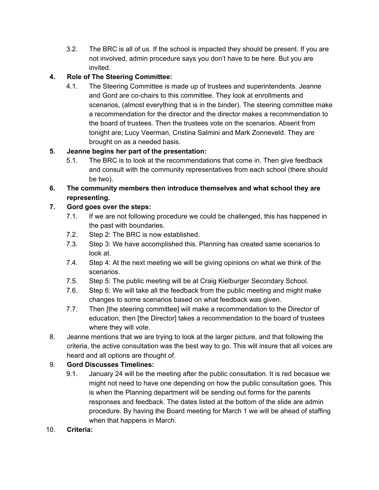3.2. The BRC is all of us. If the school is impacted they should be present. If you are not involved, admin procedure says you don't have to be here. But you are invited.

## **4. Role of The Steering Committee:**

4.1. The Steering Committee is made up of trustees and superintendents. Jeanne and Gord are co-chairs to this committee. They look at enrollments and scenarios, (almost everything that is in the binder). The steering committee make a recommendation for the director and the director makes a recommendation to the board of trustees. Then the trustees vote on the scenarios. Absent from tonight are; Lucy Veerman, Cristina Salmini and Mark Zonneveld. They are brought on as a needed basis.

#### **5. Jeanne begins her part of the presentation:**

- 5.1. The BRC is to look at the recommendations that come in. Then give feedback and consult with the community representatives from each school (there should be two).
- **6. The community members then introduce themselves and what school they are representing.**

## **7. Gord goes over the steps:**

- 7.1. If we are not following procedure we could be challenged, this has happened in the past with boundaries.
- 7.2. Step 2: The BRC is now established.
- 7.3. Step 3: We have accomplished this. Planning has created same scenarios to look at.
- 7.4. Step 4: At the next meeting we will be giving opinions on what we think of the scenarios.
- 7.5. Step 5: The public meeting will be at Craig Kielburger Secondary School.
- 7.6. Step 6: We will take all the feedback from the public meeting and might make changes to some scenarios based on what feedback was given.
- 7.7. Then [the steering committee] will make a recommendation to the Director of education, then [the Director] takes a recommendation to the board of trustees where they will vote.
- 8. Jeanne mentions that we are trying to look at the larger picture, and that following the criteria, the active consultation was the best way to go. This will insure that all voices are heard and all options are thought of.

# 9. **Gord Discusses Timelines:**

9.1. January 24 will be the meeting after the public consultation. It is red becasue we might not need to have one depending on how the public consultation goes. This is when the Planning department will be sending out forms for the parents responses and feedback. The dates listed at the bottom of the slide are admin procedure. By having the Board meeting for March 1 we will be ahead of staffing when that happens in March.

# 10. **Criteria:**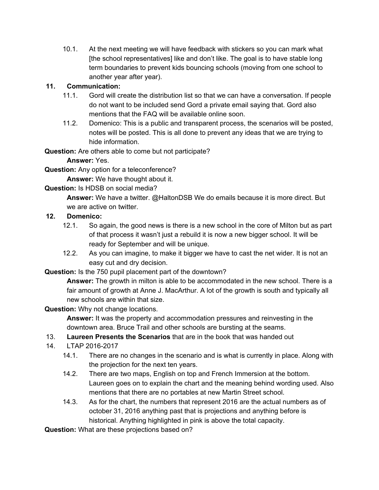10.1. At the next meeting we will have feedback with stickers so you can mark what [the school representatives] like and don't like. The goal is to have stable long term boundaries to prevent kids bouncing schools (moving from one school to another year after year).

#### **11. Communication:**

- 11.1. Gord will create the distribution list so that we can have a conversation. If people do not want to be included send Gord a private email saying that. Gord also mentions that the FAQ will be available online soon.
- 11.2. Domenico: This is a public and transparent process, the scenarios will be posted, notes will be posted. This is all done to prevent any ideas that we are trying to hide information.

**Question:** Are others able to come but not participate?

**Answer:** Yes.

**Question:** Any option for a teleconference?

**Answer:** We have thought about it.

**Question:** Is HDSB on social media?

**Answer:** We have a twitter. @HaltonDSB We do emails because it is more direct. But we are active on twitter.

- **12. Domenico:**
	- 12.1. So again, the good news is there is a new school in the core of Milton but as part of that process it wasn't just a rebuild it is now a new bigger school. It will be ready for September and will be unique.
	- 12.2. As you can imagine, to make it bigger we have to cast the net wider. It is not an easy cut and dry decision.

**Question:** Is the 750 pupil placement part of the downtown?

**Answer:** The growth in milton is able to be accommodated in the new school. There is a fair amount of growth at Anne J. MacArthur. A lot of the growth is south and typically all new schools are within that size.

#### **Question:** Why not change locations.

**Answer:** It was the property and accommodation pressures and reinvesting in the downtown area. Bruce Trail and other schools are bursting at the seams.

- 13. **Laureen Presents the Scenarios** that are in the book that was handed out
- 14. LTAP 2016-2017
	- 14.1. There are no changes in the scenario and is what is currently in place. Along with the projection for the next ten years.
	- 14.2. There are two maps, English on top and French Immersion at the bottom. Laureen goes on to explain the chart and the meaning behind wording used. Also mentions that there are no portables at new Martin Street school.
	- 14.3. As for the chart, the numbers that represent 2016 are the actual numbers as of october 31, 2016 anything past that is projections and anything before is historical. Anything highlighted in pink is above the total capacity.

**Question:** What are these projections based on?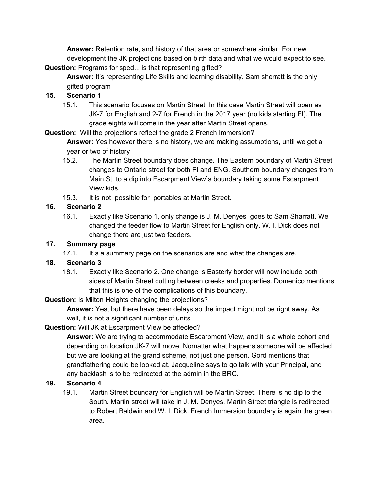**Answer:** Retention rate, and history of that area or somewhere similar. For new development the JK projections based on birth data and what we would expect to see. **Question:** Programs for sped... is that representing gifted?

**Answer:** It's representing Life Skills and learning disability. Sam sherratt is the only gifted program

#### **15. Scenario 1**

15.1. This scenario focuses on Martin Street, In this case Martin Street will open as JK-7 for English and 2-7 for French in the 2017 year (no kids starting FI). The grade eights will come in the year after Martin Street opens.

**Question:**  Will the projections reflect the grade 2 French Immersion?

**Answer:** Yes however there is no history, we are making assumptions, until we get a year or two of history

- 15.2. The Martin Street boundary does change. The Eastern boundary of Martin Street changes to Ontario street for both FI and ENG. Southern boundary changes from Main St. to a dip into Escarpment View`s boundary taking some Escarpment View kids.
- 15.3. It is not possible for portables at Martin Street.

#### **16. Scenario 2**

16.1. Exactly like Scenario 1, only change is J. M. Denyes goes to Sam Sharratt. We changed the feeder flow to Martin Street for English only. W. I. Dick does not change there are just two feeders.

#### **17. Summary page**

17.1. It`s a summary page on the scenarios are and what the changes are.

#### **18. Scenario 3**

18.1. Exactly like Scenario 2. One change is Easterly border will now include both sides of Martin Street cutting between creeks and properties. Domenico mentions that this is one of the complications of this boundary.

**Question:** Is Milton Heights changing the projections?

**Answer:** Yes, but there have been delays so the impact might not be right away. As well, it is not a significant number of units

#### **Question:** Will JK at Escarpment View be affected?

**Answer:** We are trying to accommodate Escarpment View, and it is a whole cohort and depending on location JK-7 will move. Nomatter what happens someone will be affected but we are looking at the grand scheme, not just one person. Gord mentions that grandfathering could be looked at. Jacqueline says to go talk with your Principal, and any backlash is to be redirected at the admin in the BRC.

#### **19. Scenario 4**

19.1. Martin Street boundary for English will be Martin Street. There is no dip to the South. Martin street will take in J. M. Denyes. Martin Street triangle is redirected to Robert Baldwin and W. I. Dick. French Immersion boundary is again the green area.